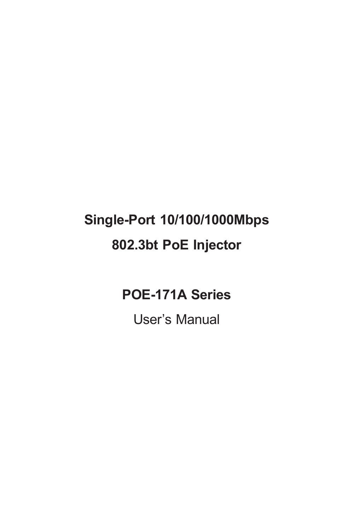# **Single-Port 10/100/1000Mbps 802.3bt PoE Injector**

## **POE-171A Series**

User's Manual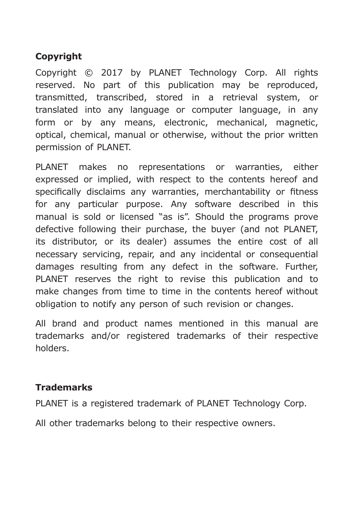### **Copyright**

Copyright © 2017 by PLANET Technology Corp. All rights reserved. No part of this publication may be reproduced, transmitted, transcribed, stored in a retrieval system, or translated into any language or computer language, in any form or by any means, electronic, mechanical, magnetic, optical, chemical, manual or otherwise, without the prior written permission of PLANET.

PLANET makes no representations or warranties, either expressed or implied, with respect to the contents hereof and specifically disclaims any warranties, merchantability or fitness for any particular purpose. Any software described in this manual is sold or licensed "as is". Should the programs prove defective following their purchase, the buyer (and not PLANET, its distributor, or its dealer) assumes the entire cost of all necessary servicing, repair, and any incidental or consequential damages resulting from any defect in the software. Further, PLANET reserves the right to revise this publication and to make changes from time to time in the contents hereof without obligation to notify any person of such revision or changes.

All brand and product names mentioned in this manual are trademarks and/or registered trademarks of their respective holders.

### **Trademarks**

PLANET is a registered trademark of PLANET Technology Corp.

All other trademarks belong to their respective owners.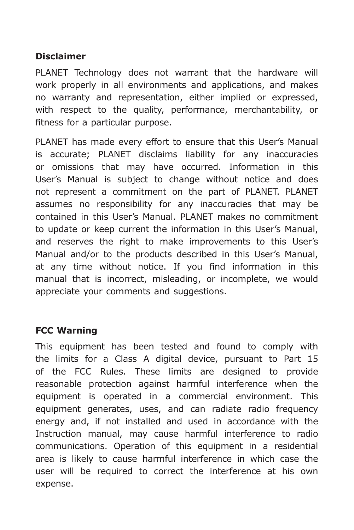#### **Disclaimer**

PLANET Technology does not warrant that the hardware will work properly in all environments and applications, and makes no warranty and representation, either implied or expressed, with respect to the quality, performance, merchantability, or fitness for a particular purpose.

PLANET has made every effort to ensure that this User's Manual is accurate; PLANET disclaims liability for any inaccuracies or omissions that may have occurred. Information in this User's Manual is subject to change without notice and does not represent a commitment on the part of PLANET. PLANET assumes no responsibility for any inaccuracies that may be contained in this User's Manual. PLANET makes no commitment to update or keep current the information in this User's Manual, and reserves the right to make improvements to this User's Manual and/or to the products described in this User's Manual, at any time without notice. If you find information in this manual that is incorrect, misleading, or incomplete, we would appreciate your comments and suggestions.

### **FCC Warning**

This equipment has been tested and found to comply with the limits for a Class A digital device, pursuant to Part 15 of the FCC Rules. These limits are designed to provide reasonable protection against harmful interference when the equipment is operated in a commercial environment. This equipment generates, uses, and can radiate radio frequency energy and, if not installed and used in accordance with the Instruction manual, may cause harmful interference to radio communications. Operation of this equipment in a residential area is likely to cause harmful interference in which case the user will be required to correct the interference at his own expense.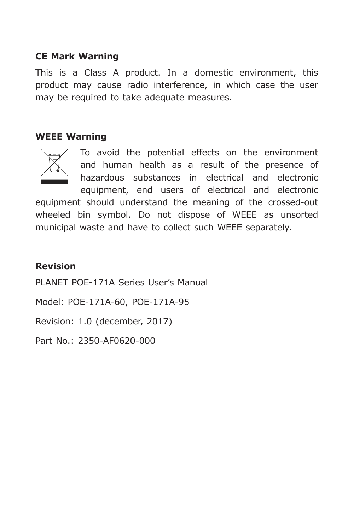#### **CE Mark Warning**

This is a Class A product. In a domestic environment, this product may cause radio interference, in which case the user may be required to take adequate measures.

#### **WEEE Warning**



To avoid the potential effects on the environment and human health as a result of the presence of hazardous substances in electrical and electronic equipment, end users of electrical and electronic equipment should understand the meaning of the crossed-out wheeled bin symbol. Do not dispose of WEEE as unsorted

municipal waste and have to collect such WEEE separately.

#### **Revision**

PLANET POE-171A Series User's Manual

Model: POE-171A-60, POE-171A-95

Revision: 1.0 (december, 2017)

Part No.: 2350-AF0620-000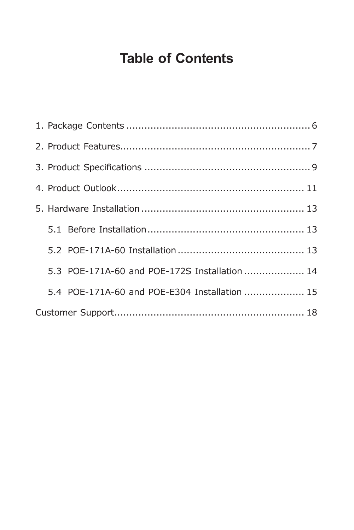# **Table of Contents**

|  | 5.3 POE-171A-60 and POE-172S Installation  14 |  |  |
|--|-----------------------------------------------|--|--|
|  | 5.4 POE-171A-60 and POE-E304 Installation  15 |  |  |
|  |                                               |  |  |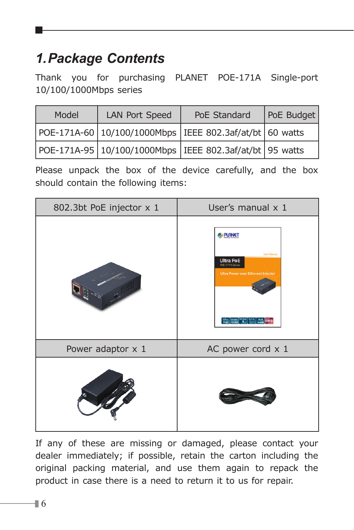# <span id="page-5-0"></span>*1.Package Contents*

Thank you for purchasing PLANET POE-171A Single-port 10/100/1000Mbps series

| Model | <b>LAN Port Speed</b> | PoE Standard                                            | PoE Budget |
|-------|-----------------------|---------------------------------------------------------|------------|
|       |                       | POE-171A-60 10/100/1000Mbps IEEE 802.3af/at/bt 60 watts |            |
|       |                       | POE-171A-95 10/100/1000Mbps IEEE 802.3af/at/bt 95 watts |            |

Please unpack the box of the device carefully, and the box should contain the following items:



If any of these are missing or damaged, please contact your dealer immediately; if possible, retain the carton including the original packing material, and use them again to repack the product in case there is a need to return it to us for repair.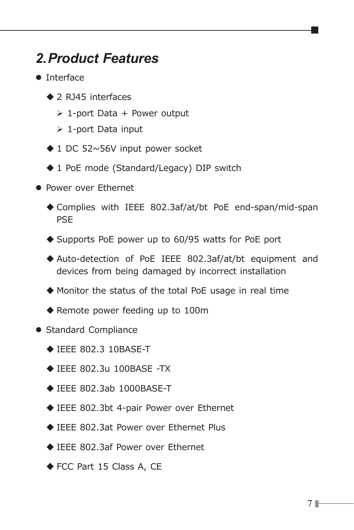## <span id="page-6-0"></span>*2.Product Features*

- **O** Interface
	- ▲ 2 R145 interfaces
		- $\geq 1$ -port Data + Power output
		- $\geq 1$ -port Data input
	- ◆ 1 DC 52~56V input power socket
	- ◆ 1 PoE mode (Standard/Legacy) DIP switch
- **Power over Ethernet** 
	- Complies with IEEE 802.3af/at/bt PoE end-span/mid-span PSE
	- ◆ Supports PoE power up to 60/95 watts for PoE port
	- Auto-detection of PoE IEEE 802.3af/at/bt equipment and devices from being damaged by incorrect installation
	- Monitor the status of the total PoE usage in real time
	- ◆ Remote power feeding up to 100m
- Standard Compliance
	- ◆ IEEE 802.3 10BASE-T
	- IEEE 802.3u 100BASE -TX
	- $\triangle$  IEEE 802.3ab 1000BASE-T
	- ◆ IEEE 802.3bt 4-pair Power over Ethernet
	- ◆ IEEE 802.3at Power over Ethernet Plus
	- ◆ IEEE 802.3af Power over Ethernet
	- ◆ FCC Part 15 Class A, CE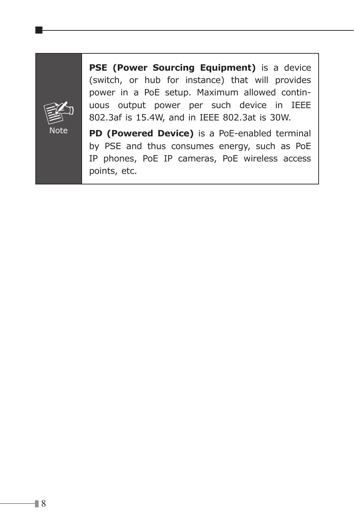

**PSE (Power Sourcing Equipment)** is a device (switch, or hub for instance) that will provides power in a PoE setup. Maximum allowed continuous output power per such device in IEEE 802.3af is 15.4W, and in IEEE 802.3at is 30W.

**PD (Powered Device)** is a PoE-enabled terminal by PSE and thus consumes energy, such as PoE IP phones, PoE IP cameras, PoE wireless access points, etc.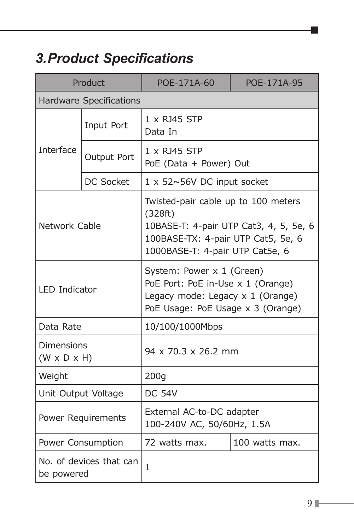# <span id="page-8-0"></span>*3. Product Specifications*

| Product                                      |                                | POE-171A-60                                                                                                                                                       | POE-171A-95    |  |
|----------------------------------------------|--------------------------------|-------------------------------------------------------------------------------------------------------------------------------------------------------------------|----------------|--|
|                                              | <b>Hardware Specifications</b> |                                                                                                                                                                   |                |  |
|                                              | Input Port                     | 1 x RJ45 STP<br>Data In                                                                                                                                           |                |  |
| <b>Interface</b>                             | Output Port                    | 1 x RJ45 STP<br>PoE (Data + Power) Out                                                                                                                            |                |  |
|                                              | DC Socket                      | 1 x 52~56V DC input socket                                                                                                                                        |                |  |
| Network Cable                                |                                | Twisted-pair cable up to 100 meters<br>(328ft)<br>10BASE-T: 4-pair UTP Cat3, 4, 5, 5e, 6<br>100BASE-TX: 4-pair UTP Cat5, 5e, 6<br>1000BASE-T: 4-pair UTP Cat5e, 6 |                |  |
| <b>LED Indicator</b>                         |                                | System: Power x 1 (Green)<br>PoE Port: PoE in-Use x 1 (Orange)<br>Legacy mode: Legacy $\times$ 1 (Orange)<br>PoE Usage: PoE Usage x 3 (Orange)                    |                |  |
| Data Rate                                    |                                | 10/100/1000Mbps                                                                                                                                                   |                |  |
| <b>Dimensions</b><br>$(W \times D \times H)$ |                                | 94 x 70.3 x 26.2 mm                                                                                                                                               |                |  |
| Weight                                       |                                | 200q                                                                                                                                                              |                |  |
|                                              | Unit Output Voltage            | <b>DC 54V</b>                                                                                                                                                     |                |  |
|                                              | Power Requirements             | External AC-to-DC adapter<br>100-240V AC, 50/60Hz, 1.5A                                                                                                           |                |  |
| Power Consumption                            |                                | 72 watts max.                                                                                                                                                     | 100 watts max. |  |
| No. of devices that can<br>be powered        |                                | 1                                                                                                                                                                 |                |  |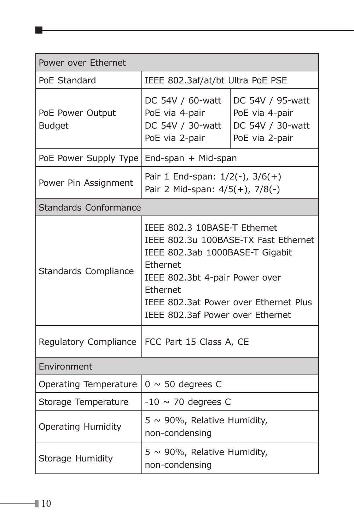| Power over Ethernet                            |                                                                                                                                                                                                                                                |                                                                          |  |
|------------------------------------------------|------------------------------------------------------------------------------------------------------------------------------------------------------------------------------------------------------------------------------------------------|--------------------------------------------------------------------------|--|
| PoE Standard                                   | IEEE 802.3af/at/bt Ultra PoE PSE                                                                                                                                                                                                               |                                                                          |  |
| PoE Power Output<br><b>Budget</b>              | DC 54V / 60-watt<br>PoE via 4-pair<br>DC 54V / 30-watt<br>PoE via 2-pair                                                                                                                                                                       | DC 54V / 95-watt<br>PoE via 4-pair<br>DC 54V / 30-watt<br>PoE via 2-pair |  |
| PoE Power Supply Type<br>End-span + Mid-span   |                                                                                                                                                                                                                                                |                                                                          |  |
| Power Pin Assignment                           | Pair 1 End-span: $1/2(-)$ , $3/6(+)$<br>Pair 2 Mid-span: 4/5(+), 7/8(-)                                                                                                                                                                        |                                                                          |  |
| Standards Conformance                          |                                                                                                                                                                                                                                                |                                                                          |  |
| Standards Compliance                           | IEEE 802.3 10BASE-T Ethernet<br>IEEE 802.3u 100BASE-TX Fast Ethernet<br>IEEE 802.3ab 1000BASE-T Gigabit<br>Ethernet<br>IEEE 802.3bt 4-pair Power over<br>Ethernet<br>IEEE 802.3at Power over Ethernet Plus<br>IEEE 802.3af Power over Ethernet |                                                                          |  |
| Regulatory Compliance                          | FCC Part 15 Class A, CE                                                                                                                                                                                                                        |                                                                          |  |
| Environment                                    |                                                                                                                                                                                                                                                |                                                                          |  |
| Operating Temperature<br>$0 \sim 50$ degrees C |                                                                                                                                                                                                                                                |                                                                          |  |
| Storage Temperature                            | $-10 \sim 70$ degrees C                                                                                                                                                                                                                        |                                                                          |  |
| Operating Humidity                             | $5 \sim 90\%$ , Relative Humidity,<br>non-condensing                                                                                                                                                                                           |                                                                          |  |
| Storage Humidity                               | $5 \sim 90\%$ , Relative Humidity,<br>non-condensing                                                                                                                                                                                           |                                                                          |  |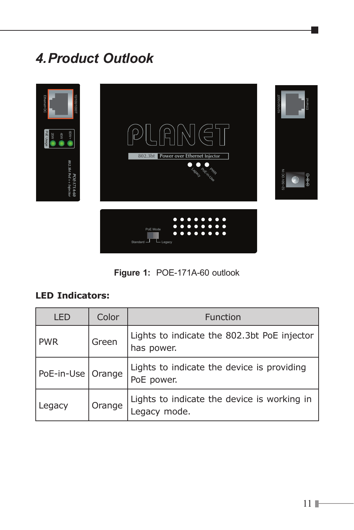# <span id="page-10-0"></span>*4.Product Outlook*



**Figure 1:** POE-171A-60 outlook

### **LED Indicators:**

| LED                 | Color  | Function                                                   |
|---------------------|--------|------------------------------------------------------------|
| <b>PWR</b>          | Green  | Lights to indicate the 802.3bt PoE injector<br>has power.  |
| PoE-in-Use   Orange |        | Lights to indicate the device is providing<br>PoE power.   |
| Legacy              | Orange | Lights to indicate the device is working in<br>egacy mode. |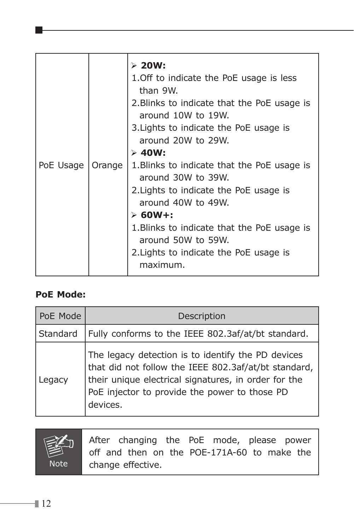|           |        | $> 20W$ :<br>1. Off to indicate the PoE usage is less<br>than 9W.<br>2. Blinks to indicate that the PoE usage is<br>around 10W to 19W.<br>3. Lights to indicate the PoE usage is<br>around 20W to 29W.<br>$> 40W$ :                                                          |
|-----------|--------|------------------------------------------------------------------------------------------------------------------------------------------------------------------------------------------------------------------------------------------------------------------------------|
| PoE Usage | Orange | 1. Blinks to indicate that the PoE usage is<br>around 30W to 39W.<br>2. Lights to indicate the PoE usage is<br>around 40W to 49W.<br>$\geq 60W +$<br>1. Blinks to indicate that the PoE usage is<br>around 50W to 59W.<br>2. Lights to indicate the PoE usage is<br>maximum. |

### **PoE Mode:**

| PoE Mode | Description                                                                                                                                                                                                                     |
|----------|---------------------------------------------------------------------------------------------------------------------------------------------------------------------------------------------------------------------------------|
| Standard | Fully conforms to the IEEE 802.3af/at/bt standard.                                                                                                                                                                              |
| Legacy   | The legacy detection is to identify the PD devices<br>that did not follow the IEEE 802.3af/at/bt standard,<br>their unique electrical signatures, in order for the<br>PoE injector to provide the power to those PD<br>devices. |



After changing the PoE mode, please power off and then on the POE-171A-60 to make the change effective.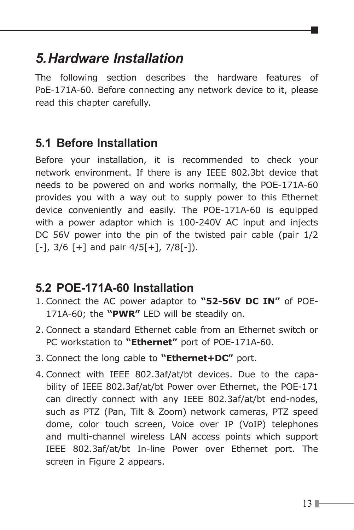## <span id="page-12-0"></span>*5.Hardware Installation*

The following section describes the hardware features of PoE-171A-60. Before connecting any network device to it, please read this chapter carefully.

## **5.1 Before Installation**

Before your installation, it is recommended to check your network environment. If there is any IEEE 802.3bt device that needs to be powered on and works normally, the POE-171A-60 provides you with a way out to supply power to this Ethernet device conveniently and easily. The POE-171A-60 is equipped with a power adaptor which is 100-240V AC input and injects DC 56V power into the pin of the twisted pair cable (pair 1/2  $[-]$ , 3/6  $[+]$  and pair 4/5 $[+]$ , 7/8 $[-]$ ).

### **5.2 POE-171A-60 Installation**

- 1. Connect the AC power adaptor to **"52-56V DC IN"** of POE-171A-60; the **"PWR"** LED will be steadily on.
- 2. Connect a standard Ethernet cable from an Ethernet switch or PC workstation to **"Ethernet"** port of POE-171A-60.
- 3. Connect the long cable to **"Ethernet+DC"** port.
- 4. Connect with IEEE 802.3af/at/bt devices. Due to the capability of IEEE 802.3af/at/bt Power over Ethernet, the POE-171 can directly connect with any IEEE 802.3af/at/bt end-nodes, such as PTZ (Pan, Tilt & Zoom) network cameras, PTZ speed dome, color touch screen, Voice over IP (VoIP) telephones and multi-channel wireless LAN access points which support IEEE 802.3af/at/bt In-line Power over Ethernet port. The screen in Figure 2 appears.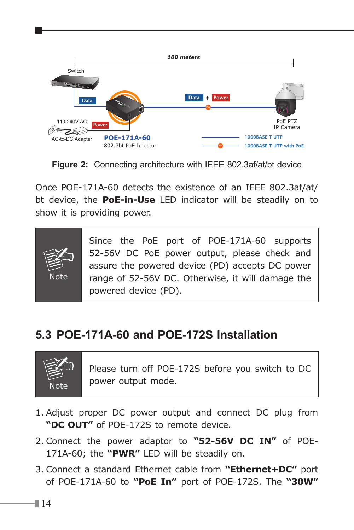<span id="page-13-0"></span>

**Figure 2:** Connecting architecture with IEEE 802.3af/at/bt device

Once POE-171A-60 detects the existence of an IEEE 802.3af/at/ bt device, the **PoE-in-Use** LED indicator will be steadily on to show it is providing power.



Since the PoE port of POE-171A-60 supports 52-56V DC PoE power output, please check and assure the powered device (PD) accepts DC power range of 52-56V DC. Otherwise, it will damage the powered device (PD).

## **5.3 POE-171A-60 and POE-172S Installation**



Please turn off POE-172S before you switch to DC power output mode.

- 1. Adjust proper DC power output and connect DC plug from **"DC OUT"** of POE-172S to remote device.
- 2. Connect the power adaptor to **"52-56V DC IN"** of POE-171A-60; the **"PWR"** LED will be steadily on.
- 3. Connect a standard Ethernet cable from **"Ethernet+DC"** port of POE-171A-60 to **"PoE In"** port of POE-172S. The **"30W"**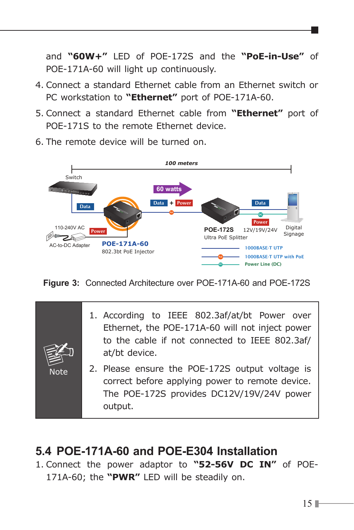<span id="page-14-0"></span>and **"60W+"** LED of POE-172S and the **"PoE-in-Use"** of POE-171A-60 will light up continuously.

- 4. Connect a standard Ethernet cable from an Ethernet switch or PC workstation to **"Ethernet"** port of POE-171A-60.
- 5. Connect a standard Ethernet cable from **"Ethernet"** port of POE-171S to the remote Ethernet device.
- 6. The remote device will be turned on.



**Figure 3:** Connected Architecture over POE-171A-60 and POE-172S

|             | 1. According to IEEE 802.3af/at/bt Power over<br>Ethernet, the POE-171A-60 will not inject power<br>to the cable if not connected to IEEE 802.3af/<br>at/bt device. |  |  |  |
|-------------|---------------------------------------------------------------------------------------------------------------------------------------------------------------------|--|--|--|
| <b>Note</b> | 2. Please ensure the POE-172S output voltage is<br>correct before applying power to remote device.<br>The POE-172S provides DC12V/19V/24V power<br>output.          |  |  |  |

### **5.4 POE-171A-60 and POE-E304 Installation**

1. Connect the power adaptor to **"52-56V DC IN"** of POE-171A-60; the **"PWR"** LED will be steadily on.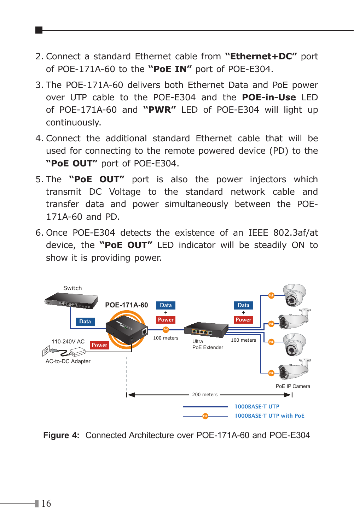- 2. Connect a standard Ethernet cable from **"Ethernet+DC"** port of POE-171A-60 to the **"PoE IN"** port of POE-E304.
- 3. The POE-171A-60 delivers both Ethernet Data and PoE power over UTP cable to the POE-E304 and the **POE-in-Use** LED of POE-171A-60 and **"PWR"** LED of POE-E304 will light up continuously.
- 4. Connect the additional standard Ethernet cable that will be used for connecting to the remote powered device (PD) to the **"PoE OUT"** port of POE-E304.
- 5. The **"PoE OUT"** port is also the power injectors which transmit DC Voltage to the standard network cable and transfer data and power simultaneously between the POE-171A-60 and PD.
- 6. Once POE-E304 detects the existence of an IEEE 802.3af/at device, the **"PoE OUT"** LED indicator will be steadily ON to show it is providing power.



**Figure 4:** Connected Architecture over POE-171A-60 and POE-E304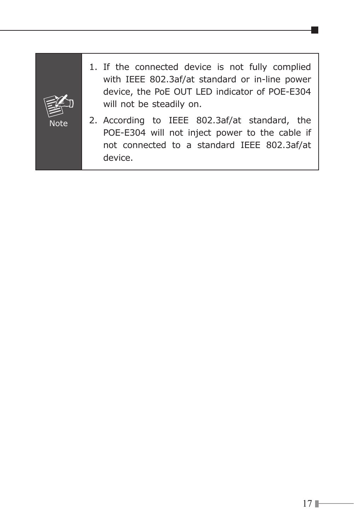

- 1. If the connected device is not fully complied with IEEE 802.3af/at standard or in-line power device, the PoE OUT LED indicator of POE-E304 will not be steadily on.
- 2. According to IEEE 802.3af/at standard, the POE-E304 will not inject power to the cable if not connected to a standard IEEE 802.3af/at device.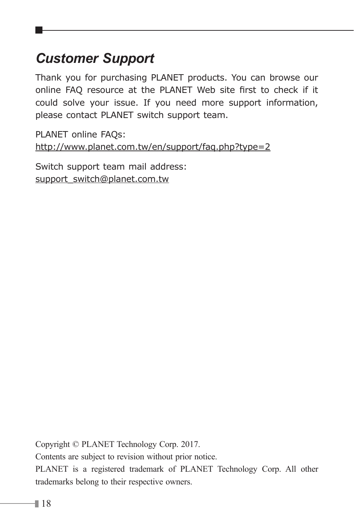## <span id="page-17-0"></span>*Customer Support*

Thank you for purchasing PLANET products. You can browse our online FAQ resource at the PLANET Web site first to check if it could solve your issue. If you need more support information, please contact PLANET switch support team.

PLANET online FAQs: http://www.planet.com.tw/en/support/faq.php?type=2

Switch support team mail address: [support\\_switch@planet.com.tw](mailto:support_switch@planet.com.tw)

Copyright © PLANET Technology Corp. 2017. Contents are subject to revision without prior notice. PLANET is a registered trademark of PLANET Technology Corp. All other trademarks belong to their respective owners.